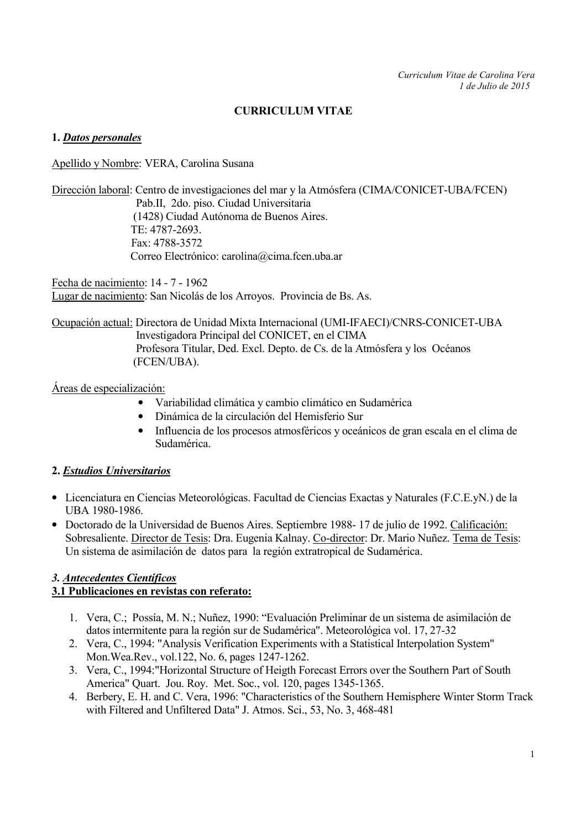## CURRICULUM VITAE

#### 1. Datos personales

Apellido y Nombre: VERA, Carolina Susana

Dirección laboral: Centro de investigaciones del mar y la Atmósfera (CIMA/CONICET-UBA/FCEN) Pab.II, 2do. piso. Ciudad Universitaria (1428) Ciudad Autónoma de Buenos Aires. TE: 4787-2693. Fax: 4788-3572 Correo Electrónico: carolina@cima.fcen.uba.ar

Fecha de nacimiento: 14 - 7 - 1962 Lugar de nacimiento: San Nicolás de los Arroyos. Provincia de Bs. As.

Ocupación actual: Directora de Unidad Mixta Internacional (UMI-IFAECI)/CNRS-CONICET-UBA Investigadora Principal del CONICET, en el CIMA Profesora Titular, Ded. Excl. Depto. de Cs. de la Atmósfera y los Océanos (FCEN/UBA).

Áreas de especialización:

- Variabilidad climática y cambio climático en Sudamérica
- Dinámica de la circulación del Hemisferio Sur
- Influencia de los procesos atmosféricos y oceánicos de gran escala en el clima de Sudamérica.

### 2. Estudios Universitarios

- Licenciatura en Ciencias Meteorológicas. Facultad de Ciencias Exactas y Naturales (F.C.E.yN.) de la UBA 1980-1986.
- Doctorado de la Universidad de Buenos Aires. Septiembre 1988- 17 de julio de 1992. Calificación: Sobresaliente. Director de Tesis: Dra. Eugenia Kalnay. Co-director: Dr. Mario Nuñez. Tema de Tesis: Un sistema de asimilación de datos para la región extratropical de Sudamérica.

## 3. Antecedentes Científicos

### 3.1 Publicaciones en revistas con referato:

- 1. Vera, C.; Possía, M. N.; Nuñez, 1990: "Evaluación Preliminar de un sistema de asimilación de datos intermitente para la región sur de Sudamérica". Meteorológica vol. 17, 27-32
- 2. Vera, C., 1994: "Analysis Verification Experiments with a Statistical Interpolation System" Mon.Wea.Rev., vol.122, No. 6, pages 1247-1262.
- 3. Vera, C., 1994:"Horizontal Structure of Heigth Forecast Errors over the Southern Part of South America" Quart. Jou. Roy. Met. Soc., vol. 120, pages 1345-1365.
- 4. Berbery, E. H. and C. Vera, 1996: "Characteristics of the Southern Hemisphere Winter Storm Track with Filtered and Unfiltered Data" J. Atmos. Sci., 53, No. 3, 468-481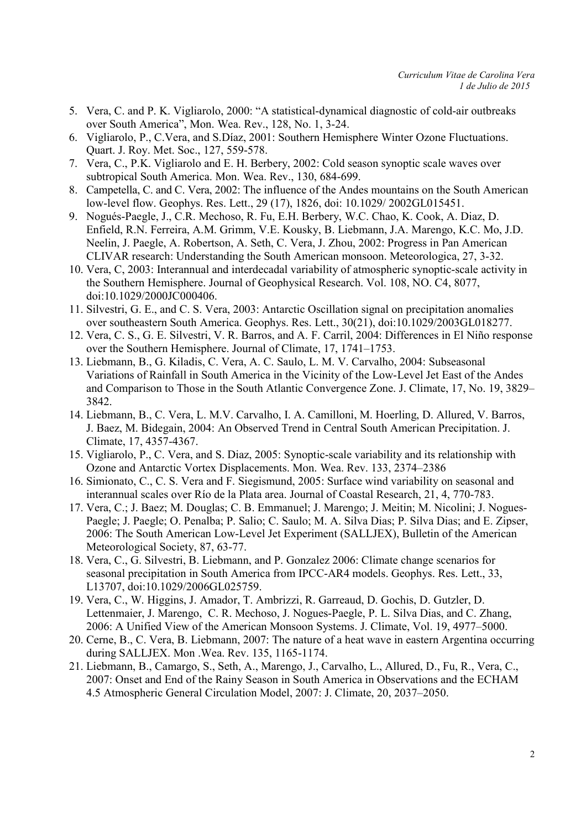- 5. Vera, C. and P. K. Vigliarolo, 2000: "A statistical-dynamical diagnostic of cold-air outbreaks over South America", Mon. Wea. Rev., 128, No. 1, 3-24.
- 6. Vigliarolo, P., C.Vera, and S.Díaz, 2001: Southern Hemisphere Winter Ozone Fluctuations. Quart. J. Roy. Met. Soc., 127, 559-578.
- 7. Vera, C., P.K. Vigliarolo and E. H. Berbery, 2002: Cold season synoptic scale waves over subtropical South America. Mon. Wea. Rev., 130, 684-699.
- 8. Campetella, C. and C. Vera, 2002: The influence of the Andes mountains on the South American low-level flow. Geophys. Res. Lett., 29 (17), 1826, doi: 10.1029/ 2002GL015451.
- 9. Nogués-Paegle, J., C.R. Mechoso, R. Fu, E.H. Berbery, W.C. Chao, K. Cook, A. Diaz, D. Enfield, R.N. Ferreira, A.M. Grimm, V.E. Kousky, B. Liebmann, J.A. Marengo, K.C. Mo, J.D. Neelin, J. Paegle, A. Robertson, A. Seth, C. Vera, J. Zhou, 2002: Progress in Pan American CLIVAR research: Understanding the South American monsoon. Meteorologica, 27, 3-32.
- 10. Vera, C, 2003: Interannual and interdecadal variability of atmospheric synoptic-scale activity in the Southern Hemisphere. Journal of Geophysical Research. Vol. 108, NO. C4, 8077, doi:10.1029/2000JC000406.
- 11. Silvestri, G. E., and C. S. Vera, 2003: Antarctic Oscillation signal on precipitation anomalies over southeastern South America. Geophys. Res. Lett., 30(21), doi:10.1029/2003GL018277.
- 12. Vera, C. S., G. E. Silvestri, V. R. Barros, and A. F. Carril, 2004: Differences in El Niño response over the Southern Hemisphere. Journal of Climate, 17, 1741–1753.
- 13. Liebmann, B., G. Kiladis, C. Vera, A. C. Saulo, L. M. V. Carvalho, 2004: Subseasonal Variations of Rainfall in South America in the Vicinity of the Low-Level Jet East of the Andes and Comparison to Those in the South Atlantic Convergence Zone. J. Climate, 17, No. 19, 3829– 3842.
- 14. Liebmann, B., C. Vera, L. M.V. Carvalho, I. A. Camilloni, M. Hoerling, D. Allured, V. Barros, J. Baez, M. Bidegain, 2004: An Observed Trend in Central South American Precipitation. J. Climate, 17, 4357-4367.
- 15. Vigliarolo, P., C. Vera, and S. Diaz, 2005: Synoptic-scale variability and its relationship with Ozone and Antarctic Vortex Displacements. Mon. Wea. Rev. 133, 2374–2386
- 16. Simionato, C., C. S. Vera and F. Siegismund, 2005: Surface wind variability on seasonal and interannual scales over Río de la Plata area. Journal of Coastal Research, 21, 4, 770-783.
- 17. Vera, C.; J. Baez; M. Douglas; C. B. Emmanuel; J. Marengo; J. Meitin; M. Nicolini; J. Nogues-Paegle; J. Paegle; O. Penalba; P. Salio; C. Saulo; M. A. Silva Dias; P. Silva Dias; and E. Zipser, 2006: The South American Low-Level Jet Experiment (SALLJEX), Bulletin of the American Meteorological Society, 87, 63-77.
- 18. Vera, C., G. Silvestri, B. Liebmann, and P. Gonzalez 2006: Climate change scenarios for seasonal precipitation in South America from IPCC-AR4 models. Geophys. Res. Lett., 33, L13707, doi:10.1029/2006GL025759.
- 19. Vera, C., W. Higgins, J. Amador, T. Ambrizzi, R. Garreaud, D. Gochis, D. Gutzler, D. Lettenmaier, J. Marengo, C. R. Mechoso, J. Nogues-Paegle, P. L. Silva Dias, and C. Zhang, 2006: A Unified View of the American Monsoon Systems. J. Climate, Vol. 19, 4977–5000.
- 20. Cerne, B., C. Vera, B. Liebmann, 2007: The nature of a heat wave in eastern Argentina occurring during SALLJEX. Mon .Wea. Rev. 135, 1165-1174.
- 21. Liebmann, B., Camargo, S., Seth, A., Marengo, J., Carvalho, L., Allured, D., Fu, R., Vera, C., 2007: Onset and End of the Rainy Season in South America in Observations and the ECHAM 4.5 Atmospheric General Circulation Model, 2007: J. Climate, 20, 2037–2050.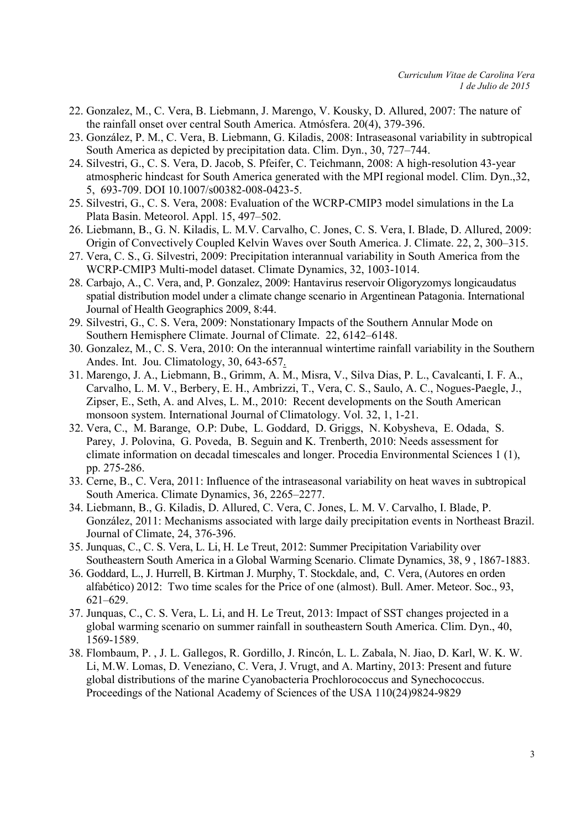- 22. Gonzalez, M., C. Vera, B. Liebmann, J. Marengo, V. Kousky, D. Allured, 2007: The nature of the rainfall onset over central South America. Atmósfera. 20(4), 379-396.
- 23. González, P. M., C. Vera, B. Liebmann, G. Kiladis, 2008: Intraseasonal variability in subtropical South America as depicted by precipitation data. Clim. Dyn., 30, 727–744.
- 24. Silvestri, G., C. S. Vera, D. Jacob, S. Pfeifer, C. Teichmann, 2008: A high-resolution 43-year atmospheric hindcast for South America generated with the MPI regional model. Clim. Dyn.,32, 5, 693-709. DOI 10.1007/s00382-008-0423-5.
- 25. Silvestri, G., C. S. Vera, 2008: Evaluation of the WCRP-CMIP3 model simulations in the La Plata Basin. Meteorol. Appl. 15, 497–502.
- 26. Liebmann, B., G. N. Kiladis, L. M.V. Carvalho, C. Jones, C. S. Vera, I. Blade, D. Allured, 2009: Origin of Convectively Coupled Kelvin Waves over South America. J. Climate. 22, 2, 300–315.
- 27. Vera, C. S., G. Silvestri, 2009: Precipitation interannual variability in South America from the WCRP-CMIP3 Multi-model dataset. Climate Dynamics, 32, 1003-1014.
- 28. Carbajo, A., C. Vera, and, P. Gonzalez, 2009: Hantavirus reservoir Oligoryzomys longicaudatus spatial distribution model under a climate change scenario in Argentinean Patagonia. International Journal of Health Geographics 2009, 8:44.
- 29. Silvestri, G., C. S. Vera, 2009: Nonstationary Impacts of the Southern Annular Mode on Southern Hemisphere Climate. Journal of Climate. 22, 6142–6148.
- 30. Gonzalez, M., C. S. Vera, 2010: On the interannual wintertime rainfall variability in the Southern Andes. Int. Jou. Climatology, 30, 643-657.
- 31. Marengo, J. A., Liebmann, B., Grimm, A. M., Misra, V., Silva Dias, P. L., Cavalcanti, I. F. A., Carvalho, L. M. V., Berbery, E. H., Ambrizzi, T., Vera, C. S., Saulo, A. C., Nogues-Paegle, J., Zipser, E., Seth, A. and Alves, L. M., 2010: Recent developments on the South American monsoon system. International Journal of Climatology. Vol. 32, 1, 1-21.
- 32. Vera, C., M. Barange, O.P: Dube, L. Goddard, D. Griggs, N. Kobysheva, E. Odada, S. Parey, J. Polovina, G. Poveda, B. Seguin and K. Trenberth, 2010: Needs assessment for climate information on decadal timescales and longer. Procedia Environmental Sciences 1 (1), pp. 275-286.
- 33. Cerne, B., C. Vera, 2011: Influence of the intraseasonal variability on heat waves in subtropical South America. Climate Dynamics, 36, 2265–2277.
- 34. Liebmann, B., G. Kiladis, D. Allured, C. Vera, C. Jones, L. M. V. Carvalho, I. Blade, P. González, 2011: Mechanisms associated with large daily precipitation events in Northeast Brazil. Journal of Climate, 24, 376-396.
- 35. Junquas, C., C. S. Vera, L. Li, H. Le Treut, 2012: Summer Precipitation Variability over Southeastern South America in a Global Warming Scenario. Climate Dynamics, 38, 9 , 1867-1883.
- 36. Goddard, L., J. Hurrell, B. Kirtman J. Murphy, T. Stockdale, and, C. Vera, (Autores en orden alfabético) 2012: Two time scales for the Price of one (almost). Bull. Amer. Meteor. Soc., 93, 621–629.
- 37. Junquas, C., C. S. Vera, L. Li, and H. Le Treut, 2013: Impact of SST changes projected in a global warming scenario on summer rainfall in southeastern South America. Clim. Dyn., 40, 1569-1589.
- 38. Flombaum, P. , J. L. Gallegos, R. Gordillo, J. Rincón, L. L. Zabala, N. Jiao, D. Karl, W. K. W. Li, M.W. Lomas, D. Veneziano, C. Vera, J. Vrugt, and A. Martiny, 2013: Present and future global distributions of the marine Cyanobacteria Prochlorococcus and Synechococcus. Proceedings of the National Academy of Sciences of the USA 110(24)9824-9829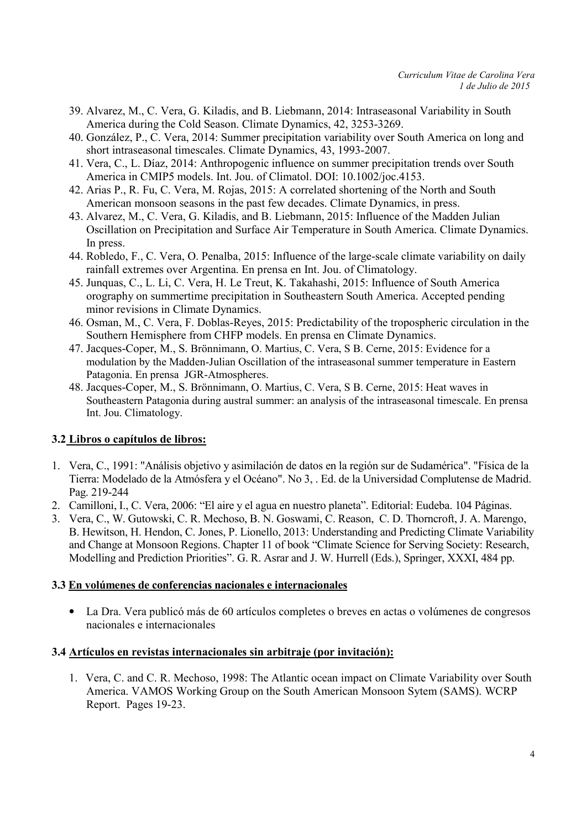- 39. Alvarez, M., C. Vera, G. Kiladis, and B. Liebmann, 2014: Intraseasonal Variability in South America during the Cold Season. Climate Dynamics, 42, 3253-3269.
- 40. González, P., C. Vera, 2014: Summer precipitation variability over South America on long and short intraseasonal timescales. Climate Dynamics, 43, 1993-2007.
- 41. Vera, C., L. Díaz, 2014: Anthropogenic influence on summer precipitation trends over South America in CMIP5 models. Int. Jou. of Climatol. DOI: 10.1002/joc.4153.
- 42. Arias P., R. Fu, C. Vera, M. Rojas, 2015: A correlated shortening of the North and South American monsoon seasons in the past few decades. Climate Dynamics, in press.
- 43. Alvarez, M., C. Vera, G. Kiladis, and B. Liebmann, 2015: Influence of the Madden Julian Oscillation on Precipitation and Surface Air Temperature in South America. Climate Dynamics. In press.
- 44. Robledo, F., C. Vera, O. Penalba, 2015: Influence of the large-scale climate variability on daily rainfall extremes over Argentina. En prensa en Int. Jou. of Climatology.
- 45. Junquas, C., L. Li, C. Vera, H. Le Treut, K. Takahashi, 2015: Influence of South America orography on summertime precipitation in Southeastern South America. Accepted pending minor revisions in Climate Dynamics.
- 46. Osman, M., C. Vera, F. Doblas-Reyes, 2015: Predictability of the tropospheric circulation in the Southern Hemisphere from CHFP models. En prensa en Climate Dynamics.
- 47. Jacques-Coper, M., S. Brönnimann, O. Martius, C. Vera, S B. Cerne, 2015: Evidence for a modulation by the Madden-Julian Oscillation of the intraseasonal summer temperature in Eastern Patagonia. En prensa JGR-Atmospheres.
- 48. Jacques-Coper, M., S. Brönnimann, O. Martius, C. Vera, S B. Cerne, 2015: Heat waves in Southeastern Patagonia during austral summer: an analysis of the intraseasonal timescale. En prensa Int. Jou. Climatology.

#### 3.2 Libros o capítulos de libros:

- 1. Vera, C., 1991: "Análisis objetivo y asimilación de datos en la región sur de Sudamérica". "Física de la Tierra: Modelado de la Atmósfera y el Océano". No 3, . Ed. de la Universidad Complutense de Madrid. Pag. 219-244
- 2. Camilloni, I., C. Vera, 2006: "El aire y el agua en nuestro planeta". Editorial: Eudeba. 104 Páginas.
- 3. Vera, C., W. Gutowski, C. R. Mechoso, B. N. Goswami, C. Reason, C. D. Thorncroft, J. A. Marengo, B. Hewitson, H. Hendon, C. Jones, P. Lionello, 2013: Understanding and Predicting Climate Variability and Change at Monsoon Regions. Chapter 11 of book "Climate Science for Serving Society: Research, Modelling and Prediction Priorities". G. R. Asrar and J. W. Hurrell (Eds.), Springer, XXXI, 484 pp.

#### 3.3 En volúmenes de conferencias nacionales e internacionales

• La Dra. Vera publicó más de 60 artículos completes o breves en actas o volúmenes de congresos nacionales e internacionales

#### 3.4 Artículos en revistas internacionales sin arbitraje (por invitación):

1. Vera, C. and C. R. Mechoso, 1998: The Atlantic ocean impact on Climate Variability over South America. VAMOS Working Group on the South American Monsoon Sytem (SAMS). WCRP Report. Pages 19-23.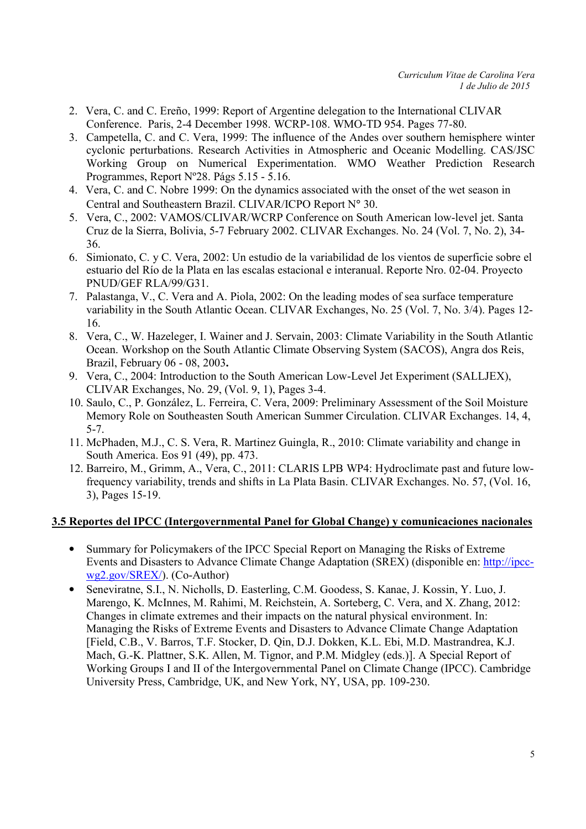- 2. Vera, C. and C. Ereño, 1999: Report of Argentine delegation to the International CLIVAR Conference. Paris, 2-4 December 1998. WCRP-108. WMO-TD 954. Pages 77-80.
- 3. Campetella, C. and C. Vera, 1999: The influence of the Andes over southern hemisphere winter cyclonic perturbations. Research Activities in Atmospheric and Oceanic Modelling. CAS/JSC Working Group on Numerical Experimentation. WMO Weather Prediction Research Programmes, Report Nº28. Págs 5.15 - 5.16.
- 4. Vera, C. and C. Nobre 1999: On the dynamics associated with the onset of the wet season in Central and Southeastern Brazil. CLIVAR/ICPO Report N° 30.
- 5. Vera, C., 2002: VAMOS/CLIVAR/WCRP Conference on South American low-level jet. Santa Cruz de la Sierra, Bolivia, 5-7 February 2002. CLIVAR Exchanges. No. 24 (Vol. 7, No. 2), 34- 36.
- 6. Simionato, C. y C. Vera, 2002: Un estudio de la variabilidad de los vientos de superficie sobre el estuario del Río de la Plata en las escalas estacional e interanual. Reporte Nro. 02-04. Proyecto PNUD/GEF RLA/99/G31.
- 7. Palastanga, V., C. Vera and A. Piola, 2002: On the leading modes of sea surface temperature variability in the South Atlantic Ocean. CLIVAR Exchanges, No. 25 (Vol. 7, No. 3/4). Pages 12- 16.
- 8. Vera, C., W. Hazeleger, I. Wainer and J. Servain, 2003: Climate Variability in the South Atlantic Ocean. Workshop on the South Atlantic Climate Observing System (SACOS), Angra dos Reis, Brazil, February 06 - 08, 2003.
- 9. Vera, C., 2004: Introduction to the South American Low-Level Jet Experiment (SALLJEX), CLIVAR Exchanges, No. 29, (Vol. 9, 1), Pages 3-4.
- 10. Saulo, C., P. González, L. Ferreira, C. Vera, 2009: Preliminary Assessment of the Soil Moisture Memory Role on Southeasten South American Summer Circulation. CLIVAR Exchanges. 14, 4, 5-7.
- 11. McPhaden, M.J., C. S. Vera, R. Martinez Guingla, R., 2010: Climate variability and change in South America. Eos 91 (49), pp. 473.
- 12. Barreiro, M., Grimm, A., Vera, C., 2011: CLARIS LPB WP4: Hydroclimate past and future lowfrequency variability, trends and shifts in La Plata Basin. CLIVAR Exchanges. No. 57, (Vol. 16, 3), Pages 15-19.

### 3.5 Reportes del IPCC (Intergovernmental Panel for Global Change) y comunicaciones nacionales

- Summary for Policymakers of the IPCC Special Report on Managing the Risks of Extreme Events and Disasters to Advance Climate Change Adaptation (SREX) (disponible en: http://ipccwg2.gov/SREX/). (Co-Author)
- Seneviratne, S.I., N. Nicholls, D. Easterling, C.M. Goodess, S. Kanae, J. Kossin, Y. Luo, J. Marengo, K. McInnes, M. Rahimi, M. Reichstein, A. Sorteberg, C. Vera, and X. Zhang, 2012: Changes in climate extremes and their impacts on the natural physical environment. In: Managing the Risks of Extreme Events and Disasters to Advance Climate Change Adaptation [Field, C.B., V. Barros, T.F. Stocker, D. Qin, D.J. Dokken, K.L. Ebi, M.D. Mastrandrea, K.J. Mach, G.-K. Plattner, S.K. Allen, M. Tignor, and P.M. Midgley (eds.)]. A Special Report of Working Groups I and II of the Intergovernmental Panel on Climate Change (IPCC). Cambridge University Press, Cambridge, UK, and New York, NY, USA, pp. 109-230.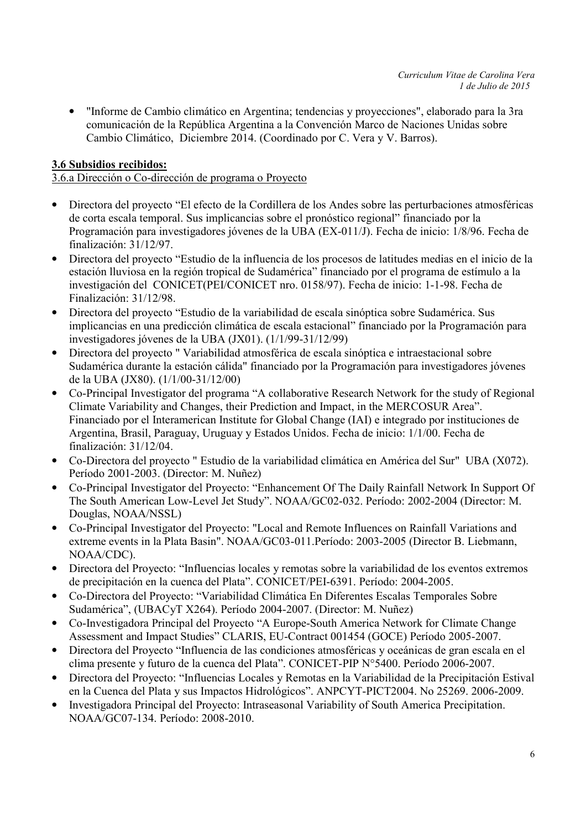• "Informe de Cambio climático en Argentina; tendencias y proyecciones", elaborado para la 3ra comunicación de la República Argentina a la Convención Marco de Naciones Unidas sobre Cambio Climático, Diciembre 2014. (Coordinado por C. Vera y V. Barros).

## 3.6 Subsidios recibidos:

#### 3.6.a Dirección o Co-dirección de programa o Proyecto

- Directora del proyecto "El efecto de la Cordillera de los Andes sobre las perturbaciones atmosféricas de corta escala temporal. Sus implicancias sobre el pronóstico regional" financiado por la Programación para investigadores jóvenes de la UBA (EX-011/J). Fecha de inicio: 1/8/96. Fecha de finalización: 31/12/97.
- Directora del proyecto "Estudio de la influencia de los procesos de latitudes medias en el inicio de la estación lluviosa en la región tropical de Sudamérica" financiado por el programa de estímulo a la investigación del CONICET(PEI/CONICET nro. 0158/97). Fecha de inicio: 1-1-98. Fecha de Finalización: 31/12/98.
- Directora del proyecto "Estudio de la variabilidad de escala sinóptica sobre Sudamérica. Sus implicancias en una predicción climática de escala estacional" financiado por la Programación para investigadores jóvenes de la UBA (JX01). (1/1/99-31/12/99)
- Directora del proyecto " Variabilidad atmosférica de escala sinóptica e intraestacional sobre Sudamérica durante la estación cálida" financiado por la Programación para investigadores jóvenes de la UBA (JX80). (1/1/00-31/12/00)
- Co-Principal Investigator del programa "A collaborative Research Network for the study of Regional Climate Variability and Changes, their Prediction and Impact, in the MERCOSUR Area". Financiado por el Interamerican Institute for Global Change (IAI) e integrado por instituciones de Argentina, Brasil, Paraguay, Uruguay y Estados Unidos. Fecha de inicio: 1/1/00. Fecha de finalización: 31/12/04.
- Co-Directora del proyecto " Estudio de la variabilidad climática en América del Sur" UBA (X072). Período 2001-2003. (Director: M. Nuñez)
- Co-Principal Investigator del Proyecto: "Enhancement Of The Daily Rainfall Network In Support Of The South American Low-Level Jet Study". NOAA/GC02-032. Período: 2002-2004 (Director: M. Douglas, NOAA/NSSL)
- Co-Principal Investigator del Proyecto: "Local and Remote Influences on Rainfall Variations and extreme events in la Plata Basin". NOAA/GC03-011.Período: 2003-2005 (Director B. Liebmann, NOAA/CDC).
- Directora del Proyecto: "Influencias locales y remotas sobre la variabilidad de los eventos extremos de precipitación en la cuenca del Plata". CONICET/PEI-6391. Período: 2004-2005.
- Co-Directora del Proyecto: "Variabilidad Climática En Diferentes Escalas Temporales Sobre Sudamérica", (UBACyT X264). Período 2004-2007. (Director: M. Nuñez)
- Co-Investigadora Principal del Proyecto "A Europe-South America Network for Climate Change Assessment and Impact Studies" CLARIS, EU-Contract 001454 (GOCE) Período 2005-2007.
- Directora del Proyecto "Influencia de las condiciones atmosféricas y oceánicas de gran escala en el clima presente y futuro de la cuenca del Plata". CONICET-PIP N°5400. Período 2006-2007.
- Directora del Proyecto: "Influencias Locales y Remotas en la Variabilidad de la Precipitación Estival en la Cuenca del Plata y sus Impactos Hidrológicos". ANPCYT-PICT2004. No 25269. 2006-2009.
- Investigadora Principal del Proyecto: Intraseasonal Variability of South America Precipitation. NOAA/GC07-134. Período: 2008-2010.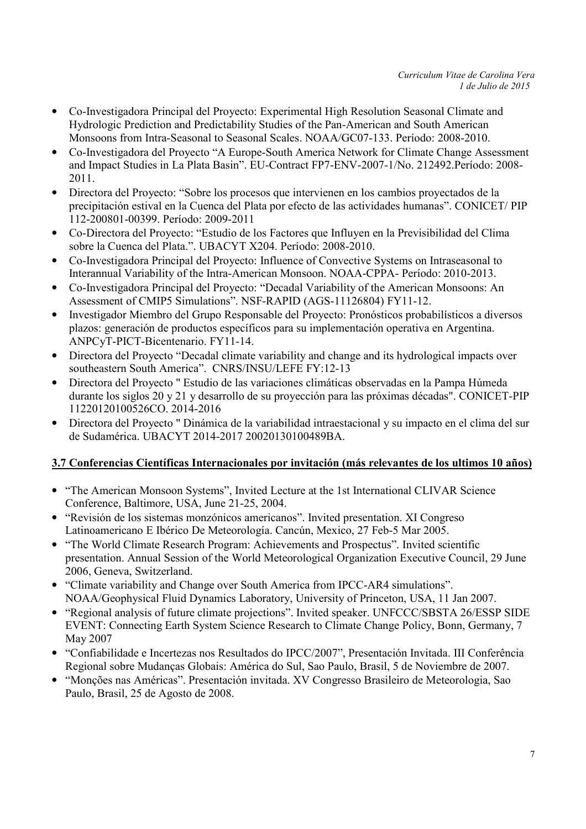- Co-Investigadora Principal del Proyecto: Experimental High Resolution Seasonal Climate and Hydrologic Prediction and Predictability Studies of the Pan-American and South American Monsoons from Intra-Seasonal to Seasonal Scales. NOAA/GC07-133. Período: 2008-2010.
- Co-Investigadora del Proyecto "A Europe-South America Network for Climate Change Assessment and Impact Studies in La Plata Basin". EU-Contract FP7-ENV-2007-1/No. 212492.Período: 2008- 2011.
- Directora del Proyecto: "Sobre los procesos que intervienen en los cambios proyectados de la precipitación estival en la Cuenca del Plata por efecto de las actividades humanas". CONICET/ PIP 112-200801-00399. Período: 2009-2011
- Co-Directora del Proyecto: "Estudio de los Factores que Influyen en la Previsibilidad del Clima sobre la Cuenca del Plata.". UBACYT X204. Período: 2008-2010.
- Co-Investigadora Principal del Proyecto: Influence of Convective Systems on Intraseasonal to Interannual Variability of the Intra-American Monsoon. NOAA-CPPA- Período: 2010-2013.
- Co-Investigadora Principal del Proyecto: "Decadal Variability of the American Monsoons: An Assessment of CMIP5 Simulations". NSF-RAPID (AGS-11126804) FY11-12.
- Investigador Miembro del Grupo Responsable del Proyecto: Pronósticos probabilísticos a diversos plazos: generación de productos específicos para su implementación operativa en Argentina. ANPCyT-PICT-Bicentenario. FY11-14.
- Directora del Proyecto "Decadal climate variability and change and its hydrological impacts over southeastern South America". CNRS/INSU/LEFE FY:12-13
- Directora del Proyecto " Estudio de las variaciones climáticas observadas en la Pampa Húmeda durante los siglos 20 y 21 y desarrollo de su proyección para las próximas décadas". CONICET-PIP 11220120100526CO. 2014-2016
- Directora del Proyecto " Dinámica de la variabilidad intraestacional y su impacto en el clima del sur de Sudamérica. UBACYT 2014-2017 20020130100489BA.

## 3.7 Conferencias Científicas Internacionales por invitación (más relevantes de los ultimos 10 años)

- "The American Monsoon Systems", Invited Lecture at the 1st International CLIVAR Science Conference, Baltimore, USA, June 21-25, 2004.
- "Revisión de los sistemas monzónicos americanos". Invited presentation. XI Congreso Latinoamericano E Ibérico De Meteorología. Cancún, Mexico, 27 Feb-5 Mar 2005.
- "The World Climate Research Program: Achievements and Prospectus". Invited scientific presentation. Annual Session of the World Meteorological Organization Executive Council, 29 June 2006, Geneva, Switzerland.
- "Climate variability and Change over South America from IPCC-AR4 simulations". NOAA/Geophysical Fluid Dynamics Laboratory, University of Princeton, USA, 11 Jan 2007.
- "Regional analysis of future climate projections". Invited speaker. UNFCCC/SBSTA 26/ESSP SIDE EVENT: Connecting Earth System Science Research to Climate Change Policy, Bonn, Germany, 7 May 2007
- "Confiabilidade e Incertezas nos Resultados do IPCC/2007", Presentación Invitada. III Conferência Regional sobre Mudanças Globais: América do Sul, Sao Paulo, Brasil, 5 de Noviembre de 2007.
- "Monções nas Américas". Presentación invitada. XV Congresso Brasileiro de Meteorologia, Sao Paulo, Brasil, 25 de Agosto de 2008.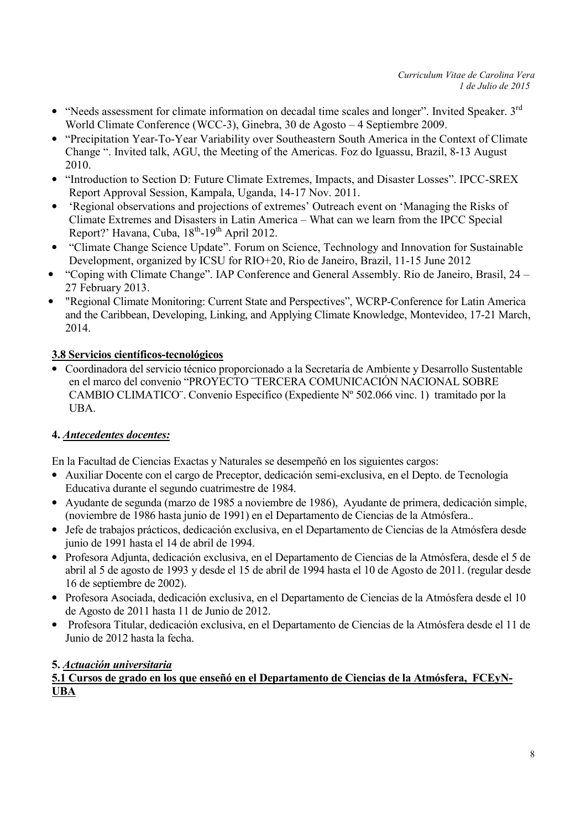- "Needs assessment for climate information on decadal time scales and longer". Invited Speaker. 3<sup>rd</sup> World Climate Conference (WCC-3), Ginebra, 30 de Agosto – 4 Septiembre 2009.
- "Precipitation Year-To-Year Variability over Southeastern South America in the Context of Climate Change ". Invited talk, AGU, the Meeting of the Americas. Foz do Iguassu, Brazil, 8-13 August 2010.
- "Introduction to Section D: Future Climate Extremes, Impacts, and Disaster Losses". IPCC-SREX Report Approval Session, Kampala, Uganda, 14-17 Nov. 2011.
- 'Regional observations and projections of extremes' Outreach event on 'Managing the Risks of Climate Extremes and Disasters in Latin America – What can we learn from the IPCC Special Report?' Havana, Cuba,  $18^{th}$ -19<sup>th</sup> April 2012.
- "Climate Change Science Update". Forum on Science, Technology and Innovation for Sustainable Development, organized by ICSU for RIO+20, Rio de Janeiro, Brazil, 11-15 June 2012
- "Coping with Climate Change". IAP Conference and General Assembly. Rio de Janeiro, Brasil, 24 27 February 2013.
- "Regional Climate Monitoring: Current State and Perspectives", WCRP-Conference for Latin America and the Caribbean, Developing, Linking, and Applying Climate Knowledge, Montevideo, 17-21 March, 2014.

## 3.8 Servicios científicos-tecnológicos

• Coordinadora del servicio técnico proporcionado a la Secretaría de Ambiente y Desarrollo Sustentable en el marco del convenio "PROYECTO ¨TERCERA COMUNICACIÓN NACIONAL SOBRE CAMBIO CLIMATICO¨. Convenio Específico (Expediente Nº 502.066 vinc. 1) tramitado por la UBA.

### 4. Antecedentes docentes:

En la Facultad de Ciencias Exactas y Naturales se desempeñó en los siguientes cargos:

- Auxiliar Docente con el cargo de Preceptor, dedicación semi-exclusiva, en el Depto. de Tecnología Educativa durante el segundo cuatrimestre de 1984.
- Ayudante de segunda (marzo de 1985 a noviembre de 1986), Ayudante de primera, dedicación simple, (noviembre de 1986 hasta junio de 1991) en el Departamento de Ciencias de la Atmósfera..
- Jefe de trabajos prácticos, dedicación exclusiva, en el Departamento de Ciencias de la Atmósfera desde junio de 1991 hasta el 14 de abril de 1994.
- Profesora Adjunta, dedicación exclusiva, en el Departamento de Ciencias de la Atmósfera, desde el 5 de abril al 5 de agosto de 1993 y desde el 15 de abril de 1994 hasta el 10 de Agosto de 2011. (regular desde 16 de septiembre de 2002).
- Profesora Asociada, dedicación exclusiva, en el Departamento de Ciencias de la Atmósfera desde el 10 de Agosto de 2011 hasta 11 de Junio de 2012.
- Profesora Titular, dedicación exclusiva, en el Departamento de Ciencias de la Atmósfera desde el 11 de Junio de 2012 hasta la fecha.

### 5. Actuación universitaria

5.1 Cursos de grado en los que enseñó en el Departamento de Ciencias de la Atmósfera, FCEyN-UBA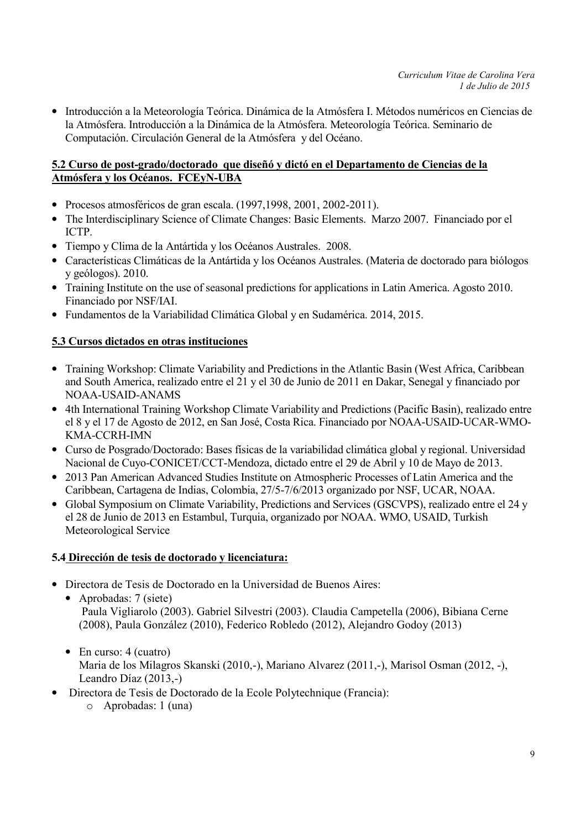• Introducción a la Meteorología Teórica. Dinámica de la Atmósfera I. Métodos numéricos en Ciencias de la Atmósfera. Introducción a la Dinámica de la Atmósfera. Meteorología Teórica. Seminario de Computación. Circulación General de la Atmósfera y del Océano.

#### 5.2 Curso de post-grado/doctorado que diseñó y dictó en el Departamento de Ciencias de la Atmósfera y los Océanos. FCEyN-UBA

- Procesos atmosféricos de gran escala. (1997,1998, 2001, 2002-2011).
- The Interdisciplinary Science of Climate Changes: Basic Elements. Marzo 2007. Financiado por el ICTP.
- Tiempo y Clima de la Antártida y los Océanos Australes. 2008.
- Características Climáticas de la Antártida y los Océanos Australes. (Materia de doctorado para biólogos y geólogos). 2010.
- Training Institute on the use of seasonal predictions for applications in Latin America. Agosto 2010. Financiado por NSF/IAI.
- Fundamentos de la Variabilidad Climática Global y en Sudamérica. 2014, 2015.

#### 5.3 Cursos dictados en otras instituciones

- Training Workshop: Climate Variability and Predictions in the Atlantic Basin (West Africa, Caribbean and South America, realizado entre el 21 y el 30 de Junio de 2011 en Dakar, Senegal y financiado por NOAA-USAID-ANAMS
- 4th International Training Workshop Climate Variability and Predictions (Pacific Basin), realizado entre el 8 y el 17 de Agosto de 2012, en San José, Costa Rica. Financiado por NOAA-USAID-UCAR-WMO-KMA-CCRH-IMN
- Curso de Posgrado/Doctorado: Bases físicas de la variabilidad climática global y regional. Universidad Nacional de Cuyo-CONICET/CCT-Mendoza, dictado entre el 29 de Abril y 10 de Mayo de 2013.
- 2013 Pan American Advanced Studies Institute on Atmospheric Processes of Latin America and the Caribbean, Cartagena de Indias, Colombia, 27/5-7/6/2013 organizado por NSF, UCAR, NOAA.
- Global Symposium on Climate Variability, Predictions and Services (GSCVPS), realizado entre el 24 y el 28 de Junio de 2013 en Estambul, Turquia, organizado por NOAA. WMO, USAID, Turkish Meteorological Service

### 5.4 Dirección de tesis de doctorado y licenciatura:

- Directora de Tesis de Doctorado en la Universidad de Buenos Aires:
	- Aprobadas: 7 (siete) Paula Vigliarolo (2003). Gabriel Silvestri (2003). Claudia Campetella (2006), Bibiana Cerne (2008), Paula González (2010), Federico Robledo (2012), Alejandro Godoy (2013)
	- En curso: 4 (cuatro) Maria de los Milagros Skanski (2010,-), Mariano Alvarez (2011,-), Marisol Osman (2012, -), Leandro Díaz (2013,-)
- Directora de Tesis de Doctorado de la Ecole Polytechnique (Francia):
	- o Aprobadas: 1 (una)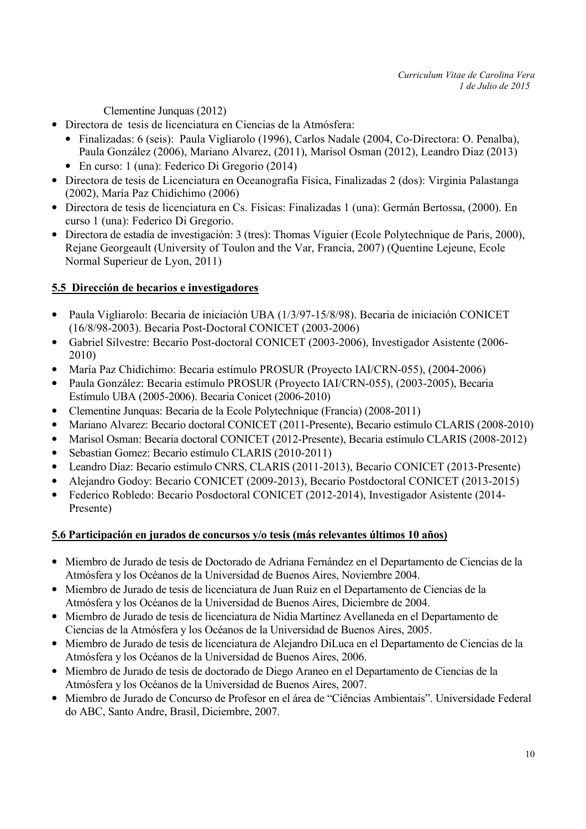Clementine Junquas (2012)

- Directora de tesis de licenciatura en Ciencias de la Atmósfera:
	- Finalizadas: 6 (seis): Paula Vigliarolo (1996), Carlos Nadale (2004, Co-Directora: O. Penalba), Paula González (2006), Mariano Alvarez, (2011), Marisol Osman (2012), Leandro Diaz (2013)
	- En curso: 1 (una): Federico Di Gregorio (2014)
- Directora de tesis de Licenciatura en Oceanografía Física, Finalizadas 2 (dos): Virginia Palastanga (2002), María Paz Chidichimo (2006)
- Directora de tesis de licenciatura en Cs. Físicas: Finalizadas 1 (una): Germán Bertossa, (2000). En curso 1 (una): Federico Di Gregorio.
- Directora de estadía de investigación: 3 (tres): Thomas Viguier (Ecole Polytechnique de Paris, 2000), Rejane Georgeault (University of Toulon and the Var, Francia, 2007) (Quentine Lejeune, Ecole Normal Superieur de Lyon, 2011)

# 5.5 Dirección de becarios e investigadores

- Paula Vigliarolo: Becaria de iniciación UBA (1/3/97-15/8/98). Becaria de iniciación CONICET (16/8/98-2003). Becaria Post-Doctoral CONICET (2003-2006)
- Gabriel Silvestre: Becario Post-doctoral CONICET (2003-2006), Investigador Asistente (2006- 2010)
- María Paz Chidichimo: Becaria estímulo PROSUR (Proyecto IAI/CRN-055), (2004-2006)
- Paula González: Becaria estímulo PROSUR (Proyecto IAI/CRN-055), (2003-2005), Becaria Estímulo UBA (2005-2006). Becaria Conicet (2006-2010)
- Clementine Junquas: Becaria de la Ecole Polytechnique (Francia) (2008-2011)
- Mariano Alvarez: Becario doctoral CONICET (2011-Presente), Becario estímulo CLARIS (2008-2010)
- Marisol Osman: Becaria doctoral CONICET (2012-Presente), Becaria estímulo CLARIS (2008-2012)
- Sebastian Gomez: Becario estímulo CLARIS (2010-2011)
- Leandro Díaz: Becario estímulo CNRS, CLARIS (2011-2013), Becario CONICET (2013-Presente)
- Alejandro Godoy: Becario CONICET (2009-2013), Becario Postdoctoral CONICET (2013-2015)
- Federico Robledo: Becario Posdoctoral CONICET (2012-2014), Investigador Asistente (2014- Presente)

## 5.6 Participación en jurados de concursos y/o tesis (más relevantes últimos 10 años)

- Miembro de Jurado de tesis de Doctorado de Adriana Fernández en el Departamento de Ciencias de la Atmósfera y los Océanos de la Universidad de Buenos Aires, Noviembre 2004.
- Miembro de Jurado de tesis de licenciatura de Juan Ruiz en el Departamento de Ciencias de la Atmósfera y los Océanos de la Universidad de Buenos Aires, Diciembre de 2004.
- Miembro de Jurado de tesis de licenciatura de Nidia Martinez Avellaneda en el Departamento de Ciencias de la Atmósfera y los Océanos de la Universidad de Buenos Aires, 2005.
- Miembro de Jurado de tesis de licenciatura de Alejandro DiLuca en el Departamento de Ciencias de la Atmósfera y los Océanos de la Universidad de Buenos Aires, 2006.
- Miembro de Jurado de tesis de doctorado de Diego Araneo en el Departamento de Ciencias de la Atmósfera y los Océanos de la Universidad de Buenos Aires, 2007.
- Miembro de Jurado de Concurso de Profesor en el área de "Ciências Ambientais". Universidade Federal do ABC, Santo Andre, Brasil, Diciembre, 2007.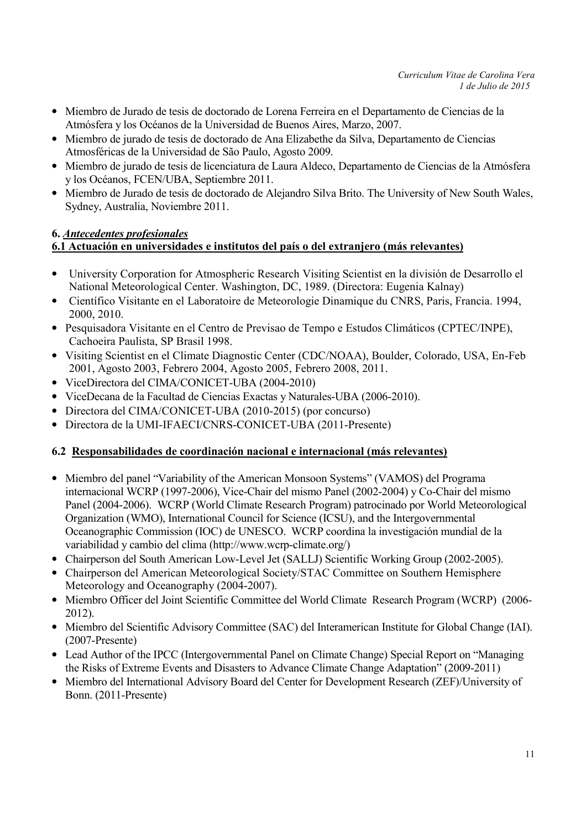- Miembro de Jurado de tesis de doctorado de Lorena Ferreira en el Departamento de Ciencias de la Atmósfera y los Océanos de la Universidad de Buenos Aires, Marzo, 2007.
- Miembro de jurado de tesis de doctorado de Ana Elizabethe da Silva, Departamento de Ciencias Atmosféricas de la Universidad de São Paulo, Agosto 2009.
- Miembro de jurado de tesis de licenciatura de Laura Aldeco, Departamento de Ciencias de la Atmósfera y los Océanos, FCEN/UBA, Septiembre 2011.
- Miembro de Jurado de tesis de doctorado de Alejandro Silva Brito. The University of New South Wales, Sydney, Australia, Noviembre 2011.

#### 6. Antecedentes profesionales 6.1 Actuación en universidades e institutos del país o del extranjero (más relevantes)

- University Corporation for Atmospheric Research Visiting Scientist en la división de Desarrollo el National Meteorological Center. Washington, DC, 1989. (Directora: Eugenia Kalnay)
- Científico Visitante en el Laboratoire de Meteorologie Dinamique du CNRS, Paris, Francia. 1994, 2000, 2010.
- Pesquisadora Visitante en el Centro de Previsao de Tempo e Estudos Climáticos (CPTEC/INPE), Cachoeira Paulista, SP Brasil 1998.
- Visiting Scientist en el Climate Diagnostic Center (CDC/NOAA), Boulder, Colorado, USA, En-Feb 2001, Agosto 2003, Febrero 2004, Agosto 2005, Febrero 2008, 2011.
- ViceDirectora del CIMA/CONICET-UBA (2004-2010)
- ViceDecana de la Facultad de Ciencias Exactas y Naturales-UBA (2006-2010).
- Directora del CIMA/CONICET-UBA (2010-2015) (por concurso)
- Directora de la UMI-IFAECI/CNRS-CONICET-UBA (2011-Presente)

### 6.2 Responsabilidades de coordinación nacional e internacional (más relevantes)

- Miembro del panel "Variability of the American Monsoon Systems" (VAMOS) del Programa internacional WCRP (1997-2006), Vice-Chair del mismo Panel (2002-2004) y Co-Chair del mismo Panel (2004-2006). WCRP (World Climate Research Program) patrocinado por World Meteorological Organization (WMO), International Council for Science (ICSU), and the Intergovernmental Oceanographic Commission (IOC) de UNESCO. WCRP coordina la investigación mundial de la variabilidad y cambio del clima (http://www.wcrp-climate.org/)
- Chairperson del South American Low-Level Jet (SALLJ) Scientific Working Group (2002-2005).
- Chairperson del American Meteorological Society/STAC Committee on Southern Hemisphere Meteorology and Oceanography (2004-2007).
- Miembro Officer del Joint Scientific Committee del World Climate Research Program (WCRP) (2006- 2012).
- Miembro del Scientific Advisory Committee (SAC) del Interamerican Institute for Global Change (IAI). (2007-Presente)
- Lead Author of the IPCC (Intergovernmental Panel on Climate Change) Special Report on "Managing" the Risks of Extreme Events and Disasters to Advance Climate Change Adaptation" (2009-2011)
- Miembro del International Advisory Board del Center for Development Research (ZEF)/University of Bonn. (2011-Presente)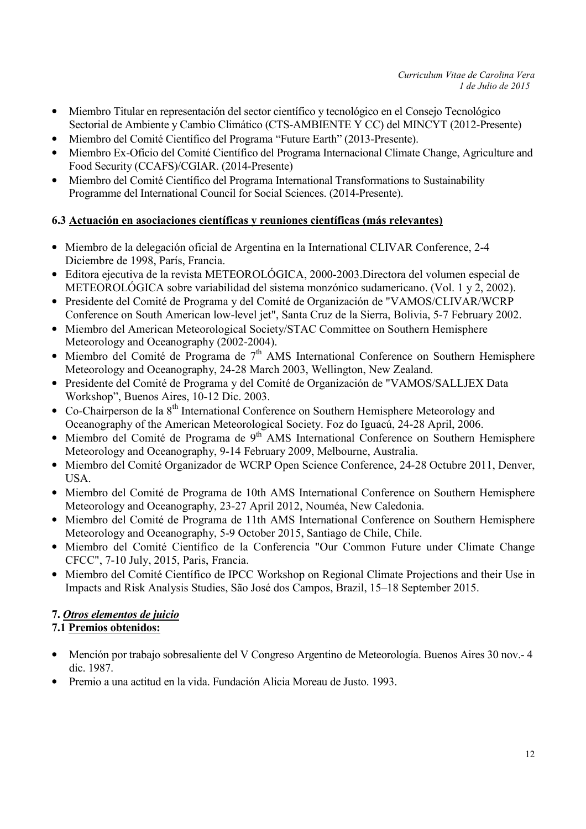- Miembro Titular en representación del sector científico y tecnológico en el Consejo Tecnológico Sectorial de Ambiente y Cambio Climático (CTS-AMBIENTE Y CC) del MINCYT (2012-Presente)
- Miembro del Comité Científico del Programa "Future Earth" (2013-Presente).
- Miembro Ex-Oficio del Comité Científico del Programa Internacional Climate Change, Agriculture and Food Security (CCAFS)/CGIAR. (2014-Presente)
- Miembro del Comité Científico del Programa International Transformations to Sustainability Programme del International Council for Social Sciences. (2014-Presente).

## 6.3 Actuación en asociaciones científicas y reuniones científicas (más relevantes)

- Miembro de la delegación oficial de Argentina en la International CLIVAR Conference, 2-4 Diciembre de 1998, París, Francia.
- Editora ejecutiva de la revista METEOROLÓGICA, 2000-2003.Directora del volumen especial de METEOROLÓGICA sobre variabilidad del sistema monzónico sudamericano. (Vol. 1 y 2, 2002).
- Presidente del Comité de Programa y del Comité de Organización de "VAMOS/CLIVAR/WCRP Conference on South American low-level jet", Santa Cruz de la Sierra, Bolivia, 5-7 February 2002.
- Miembro del American Meteorological Society/STAC Committee on Southern Hemisphere Meteorology and Oceanography (2002-2004).
- Miembro del Comité de Programa de  $7<sup>th</sup>$  AMS International Conference on Southern Hemisphere Meteorology and Oceanography, 24-28 March 2003, Wellington, New Zealand.
- Presidente del Comité de Programa y del Comité de Organización de "VAMOS/SALLJEX Data Workshop", Buenos Aires, 10-12 Dic. 2003.
- Co-Chairperson de la  $8<sup>th</sup>$  International Conference on Southern Hemisphere Meteorology and Oceanography of the American Meteorological Society. Foz do Iguacú, 24-28 April, 2006.
- Miembro del Comité de Programa de 9<sup>th</sup> AMS International Conference on Southern Hemisphere Meteorology and Oceanography, 9-14 February 2009, Melbourne, Australia.
- Miembro del Comité Organizador de WCRP Open Science Conference, 24-28 Octubre 2011, Denver, USA.
- Miembro del Comité de Programa de 10th AMS International Conference on Southern Hemisphere Meteorology and Oceanography, 23-27 April 2012, Nouméa, New Caledonia.
- Miembro del Comité de Programa de 11th AMS International Conference on Southern Hemisphere Meteorology and Oceanography, 5-9 October 2015, Santiago de Chile, Chile.
- Miembro del Comité Científico de la Conferencia "Our Common Future under Climate Change CFCC", 7-10 July, 2015, Paris, Francia.
- Miembro del Comité Científico de IPCC Workshop on Regional Climate Projections and their Use in Impacts and Risk Analysis Studies, São José dos Campos, Brazil, 15–18 September 2015.

# 7. Otros elementos de juicio

## 7.1 Premios obtenidos:

- Mención por trabajo sobresaliente del V Congreso Argentino de Meteorología. Buenos Aires 30 nov.- 4 dic. 1987.
- Premio a una actitud en la vida. Fundación Alicia Moreau de Justo. 1993.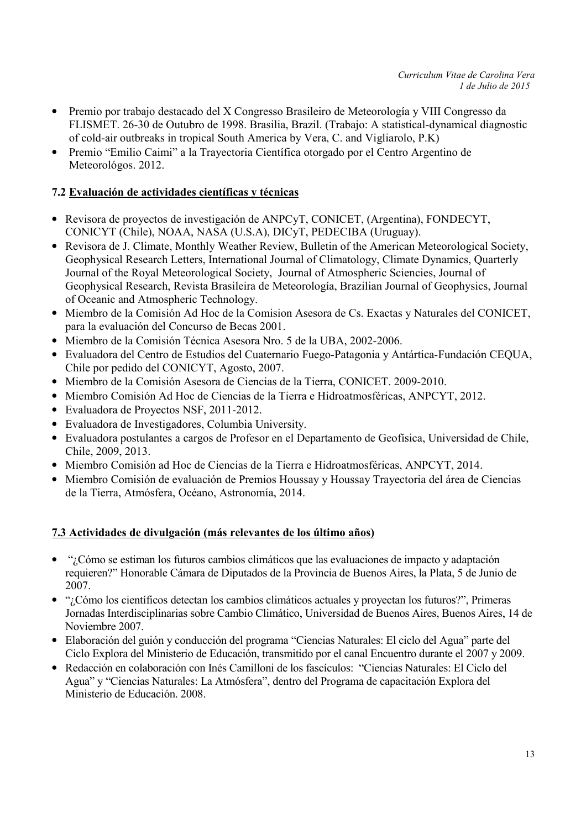- Premio por trabajo destacado del X Congresso Brasileiro de Meteorología y VIII Congresso da FLISMET. 26-30 de Outubro de 1998. Brasilia, Brazil. (Trabajo: A statistical-dynamical diagnostic of cold-air outbreaks in tropical South America by Vera, C. and Vigliarolo, P.K)
- Premio "Emilio Caimi" a la Trayectoria Científica otorgado por el Centro Argentino de Meteorológos. 2012.

### 7.2 Evaluación de actividades científicas y técnicas

- Revisora de proyectos de investigación de ANPCyT, CONICET, (Argentina), FONDECYT, CONICYT (Chile), NOAA, NASA (U.S.A), DICyT, PEDECIBA (Uruguay).
- Revisora de J. Climate, Monthly Weather Review, Bulletin of the American Meteorological Society, Geophysical Research Letters, International Journal of Climatology, Climate Dynamics, Quarterly Journal of the Royal Meteorological Society, Journal of Atmospheric Sciencies, Journal of Geophysical Research, Revista Brasileira de Meteorología, Brazilian Journal of Geophysics, Journal of Oceanic and Atmospheric Technology.
- Miembro de la Comisión Ad Hoc de la Comision Asesora de Cs. Exactas y Naturales del CONICET, para la evaluación del Concurso de Becas 2001.
- Miembro de la Comisión Técnica Asesora Nro. 5 de la UBA, 2002-2006.
- Evaluadora del Centro de Estudios del Cuaternario Fuego-Patagonia y Antártica-Fundación CEQUA, Chile por pedido del CONICYT, Agosto, 2007.
- Miembro de la Comisión Asesora de Ciencias de la Tierra, CONICET. 2009-2010.
- Miembro Comisión Ad Hoc de Ciencias de la Tierra e Hidroatmosféricas, ANPCYT, 2012.
- Evaluadora de Proyectos NSF, 2011-2012.
- Evaluadora de Investigadores, Columbia University.
- Evaluadora postulantes a cargos de Profesor en el Departamento de Geofísica, Universidad de Chile, Chile, 2009, 2013.
- Miembro Comisión ad Hoc de Ciencias de la Tierra e Hidroatmosféricas, ANPCYT, 2014.
- Miembro Comisión de evaluación de Premios Houssay y Houssay Trayectoria del área de Ciencias de la Tierra, Atmósfera, Océano, Astronomía, 2014.

## 7.3 Actividades de divulgación (más relevantes de los último años)

- "¿Cómo se estiman los futuros cambios climáticos que las evaluaciones de impacto y adaptación requieren?" Honorable Cámara de Diputados de la Provincia de Buenos Aires, la Plata, 5 de Junio de 2007.
- "¿Cómo los científicos detectan los cambios climáticos actuales y proyectan los futuros?", Primeras Jornadas Interdisciplinarias sobre Cambio Climático, Universidad de Buenos Aires, Buenos Aires, 14 de Noviembre 2007.
- Elaboración del guión y conducción del programa "Ciencias Naturales: El ciclo del Agua" parte del Ciclo Explora del Ministerio de Educación, transmitido por el canal Encuentro durante el 2007 y 2009.
- Redacción en colaboración con Inés Camilloni de los fascículos: "Ciencias Naturales: El Ciclo del Agua" y "Ciencias Naturales: La Atmósfera", dentro del Programa de capacitación Explora del Ministerio de Educación. 2008.